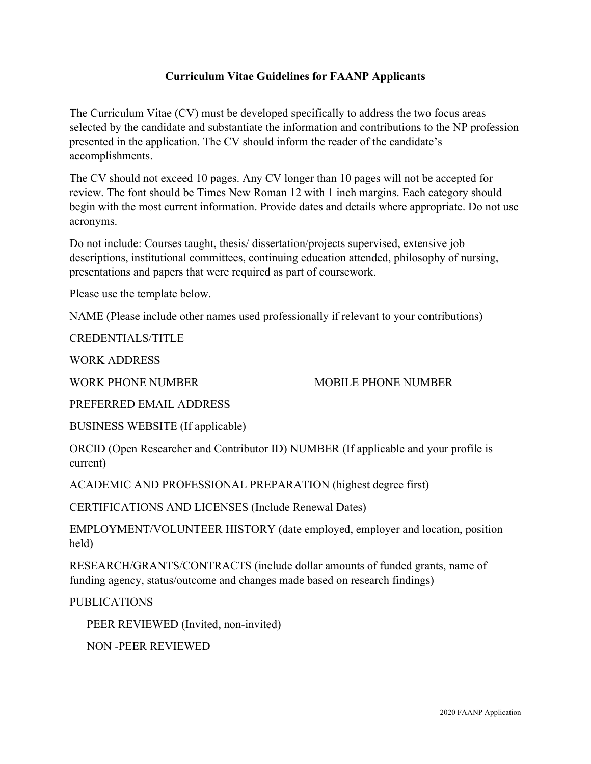## **Curriculum Vitae Guidelines for FAANP Applicants**

The Curriculum Vitae (CV) must be developed specifically to address the two focus areas selected by the candidate and substantiate the information and contributions to the NP profession presented in the application. The CV should inform the reader of the candidate's accomplishments.

The CV should not exceed 10 pages. Any CV longer than 10 pages will not be accepted for review. The font should be Times New Roman 12 with 1 inch margins. Each category should begin with the most current information. Provide dates and details where appropriate. Do not use acronyms.

Do not include: Courses taught, thesis/ dissertation/projects supervised, extensive job descriptions, institutional committees, continuing education attended, philosophy of nursing, presentations and papers that were required as part of coursework.

Please use the template below.

NAME (Please include other names used professionally if relevant to your contributions)

CREDENTIALS/TITLE

WORK ADDRESS

WORK PHONE NUMBER MOBILE PHONE NUMBER

PREFERRED EMAIL ADDRESS

BUSINESS WEBSITE (If applicable)

ORCID (Open Researcher and Contributor ID) NUMBER (If applicable and your profile is current)

ACADEMIC AND PROFESSIONAL PREPARATION (highest degree first)

CERTIFICATIONS AND LICENSES (Include Renewal Dates)

EMPLOYMENT/VOLUNTEER HISTORY (date employed, employer and location, position held)

RESEARCH/GRANTS/CONTRACTS (include dollar amounts of funded grants, name of funding agency, status/outcome and changes made based on research findings)

PUBLICATIONS

PEER REVIEWED (Invited, non-invited)

NON -PEER REVIEWED